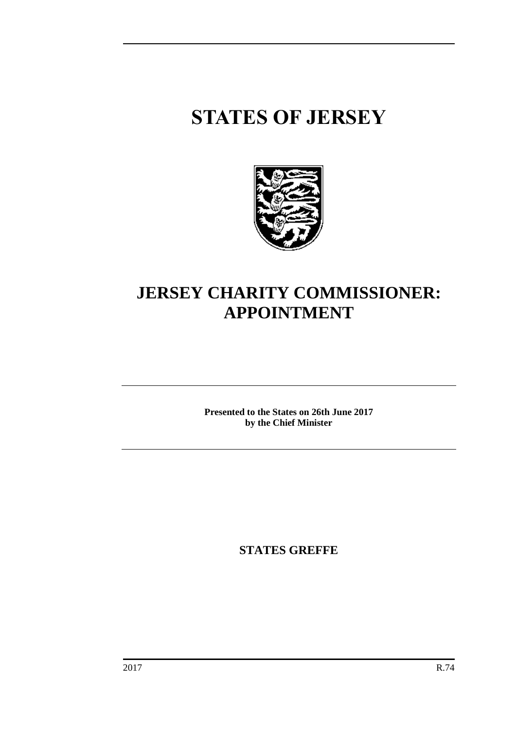# **STATES OF JERSEY**



# **JERSEY CHARITY COMMISSIONER: APPOINTMENT**

**Presented to the States on 26th June 2017 by the Chief Minister**

**STATES GREFFE**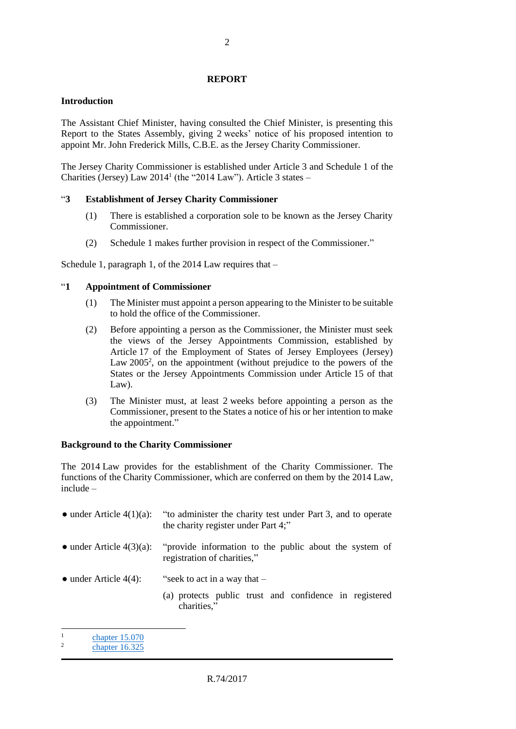### **REPORT**

## **Introduction**

The Assistant Chief Minister, having consulted the Chief Minister, is presenting this Report to the States Assembly, giving 2 weeks' notice of his proposed intention to appoint Mr. John Frederick Mills, C.B.E. as the Jersey Charity Commissioner.

The Jersey Charity Commissioner is established under Article 3 and Schedule 1 of the Charities (Jersey) Law  $2014<sup>1</sup>$  (the "2014 Law"). Article 3 states  $-$ 

# "**3 Establishment of Jersey Charity Commissioner**

- (1) There is established a corporation sole to be known as the Jersey Charity Commissioner.
- (2) Schedule 1 makes further provision in respect of the Commissioner."

Schedule 1, paragraph 1, of the 2014 Law requires that –

# "**1 Appointment of Commissioner**

- (1) The Minister must appoint a person appearing to the Minister to be suitable to hold the office of the Commissioner.
- (2) Before appointing a person as the Commissioner, the Minister must seek the views of the Jersey Appointments Commission, established by Article 17 of the Employment of States of Jersey Employees (Jersey) Law 2005<sup>2</sup>, on the appointment (without prejudice to the powers of the States or the Jersey Appointments Commission under Article 15 of that Law).
- (3) The Minister must, at least 2 weeks before appointing a person as the Commissioner, present to the States a notice of his or her intention to make the appointment."

#### **Background to the Charity Commissioner**

The 2014 Law provides for the establishment of the Charity Commissioner. The functions of the Charity Commissioner, which are conferred on them by the 2014 Law, include –

| $\bullet$ under Article 4(1)(a): | "to administer the charity test under Part 3, and to operate<br>the charity register under Part 4;"     |
|----------------------------------|---------------------------------------------------------------------------------------------------------|
| $\bullet$ under Article 4(3)(a): | "provide information to the public about the system of<br>registration of charities,"                   |
| $\bullet$ under Article 4(4):    | "seek to act in a way that $-$<br>(a) protects public trust and confidence in registered<br>charities." |

<sup>1</sup> [chapter 15.070](https://www.jerseylaw.je/laws/revised/Pages/15.070.aspx)

 $\overline{a}$ 

 $\overline{2}$ [chapter 16.325](https://www.jerseylaw.je/laws/revised/Pages/16.325.aspx)